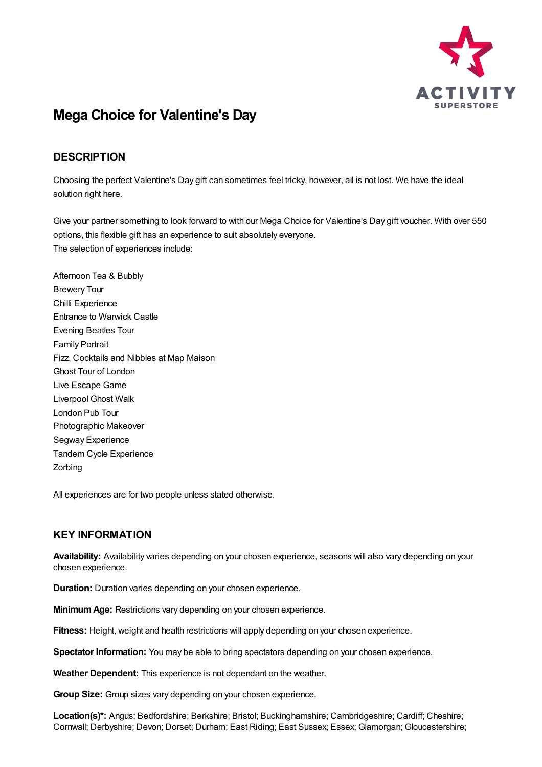

## **Mega Choice for Valentine's Day**

## **DESCRIPTION**

Choosing the perfect Valentine's Day gift can sometimes feel tricky, however, all is not lost. We have the ideal solution right here.

Give your partner something to look forward to with our Mega Choice for Valentine's Day gift voucher. With over 550 options, this flexible gift has an experience to suit absolutely everyone. The selection of experiences include:

Afternoon Tea & Bubbly Brewery Tour Chilli Experience Entrance to Warwick Castle Evening Beatles Tour Family Portrait Fizz, Cocktails and Nibbles at Map Maison Ghost Tour of London Live Escape Game Liverpool Ghost Walk London Pub Tour Photographic Makeover Segway Experience Tandem Cycle Experience Zorbing

All experiences are for two people unless stated otherwise.

## **KEY INFORMATION**

**Availability:** Availability varies depending on your chosen experience, seasons will also vary depending on your chosen experience.

**Duration:** Duration varies depending on your chosen experience.

**MinimumAge:** Restrictions vary depending on your chosen experience.

**Fitness:** Height, weight and health restrictions will apply depending on your chosen experience.

**Spectator Information:** You may be able to bring spectators depending on your chosen experience.

**Weather Dependent:** This experience is not dependant on the weather.

**Group Size:** Group sizes vary depending on your chosen experience.

**Location(s)\*:** Angus; Bedfordshire; Berkshire; Bristol; Buckinghamshire; Cambridgeshire; Cardiff; Cheshire; Cornwall; Derbyshire; Devon; Dorset; Durham; East Riding; East Sussex; Essex; Glamorgan; Gloucestershire;